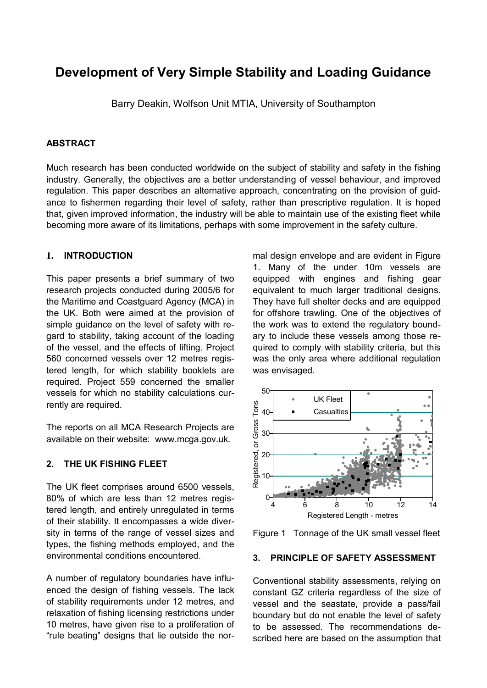# **Development of Very Simple Stability and Loading Guidance**

Barry Deakin, Wolfson Unit MTIA, University of Southampton

# **ABSTRACT**

Much research has been conducted worldwide on the subject of stability and safety in the fishing industry. Generally, the objectives are a better understanding of vessel behaviour, and improved regulation. This paper describes an alternative approach, concentrating on the provision of guidance to fishermen regarding their level of safety, rather than prescriptive regulation. It is hoped that, given improved information, the industry will be able to maintain use of the existing fleet while becoming more aware of its limitations, perhaps with some improvement in the safety culture.

# **1. INTRODUCTION**

This paper presents a brief summary of two research projects conducted during 2005/6 for the Maritime and Coastguard Agency (MCA) in the UK. Both were aimed at the provision of simple guidance on the level of safety with regard to stability, taking account of the loading of the vessel, and the effects of lifting. Project 560 concerned vessels over 12 metres registered length, for which stability booklets are required. Project 559 concerned the smaller vessels for which no stability calculations currently are required.

The reports on all MCA Research Projects are available on their website: www.mcga.gov.uk.

# **2. THE UK FISHING FLEET**

The UK fleet comprises around 6500 vessels, 80% of which are less than 12 metres registered length, and entirely unregulated in terms of their stability. It encompasses a wide diversity in terms of the range of vessel sizes and types, the fishing methods employed, and the environmental conditions encountered.

A number of regulatory boundaries have influenced the design of fishing vessels. The lack of stability requirements under 12 metres, and relaxation of fishing licensing restrictions under 10 metres, have given rise to a proliferation of "rule beating" designs that lie outside the nor-

mal design envelope and are evident in Figure 1. Many of the under 10m vessels are equipped with engines and fishing gear equivalent to much larger traditional designs. They have full shelter decks and are equipped for offshore trawling. One of the objectives of the work was to extend the regulatory boundary to include these vessels among those required to comply with stability criteria, but this was the only area where additional regulation was envisaged.



Figure 1 Tonnage of the UK small vessel fleet

#### **3. PRINCIPLE OF SAFETY ASSESSMENT**

Conventional stability assessments, relying on constant GZ criteria regardless of the size of vessel and the seastate, provide a pass/fail boundary but do not enable the level of safety to be assessed. The recommendations described here are based on the assumption that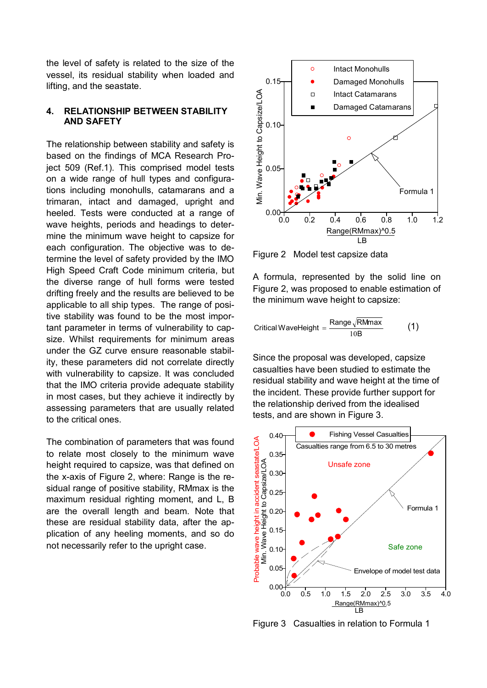the level of safety is related to the size of the vessel, its residual stability when loaded and lifting, and the seastate.

# **4. RELATIONSHIP BETWEEN STABILITY AND SAFETY**

The relationship between stability and safety is based on the findings of MCA Research Project 509 (Ref.1). This comprised model tests on a wide range of hull types and configurations including monohulls, catamarans and a trimaran, intact and damaged, upright and heeled. Tests were conducted at a range of wave heights, periods and headings to determine the minimum wave height to capsize for each configuration. The objective was to determine the level of safety provided by the IMO High Speed Craft Code minimum criteria, but the diverse range of hull forms were tested drifting freely and the results are believed to be applicable to all ship types. The range of positive stability was found to be the most important parameter in terms of vulnerability to capsize. Whilst requirements for minimum areas under the GZ curve ensure reasonable stability, these parameters did not correlate directly with vulnerability to capsize. It was concluded that the IMO criteria provide adequate stability in most cases, but they achieve it indirectly by assessing parameters that are usually related to the critical ones.

The combination of parameters that was found to relate most closely to the minimum wave height required to capsize, was that defined on the x-axis of Figure 2, where: Range is the residual range of positive stability, RMmax is the maximum residual righting moment, and L, B are the overall length and beam. Note that these are residual stability data, after the application of any heeling moments, and so do not necessarily refer to the upright case.



Figure 2 Model test capsize data

A formula, represented by the solid line on Figure 2, was proposed to enable estimation of the minimum wave height to capsize:

$$
Critical WaveHeight = \frac{Range\sqrt{RMmax}}{10B}
$$
 (1)

Since the proposal was developed, capsize casualties have been studied to estimate the residual stability and wave height at the time of the incident. These provide further support for the relationship derived from the idealised tests, and are shown in Figure 3.



Figure 3 Casualties in relation to Formula 1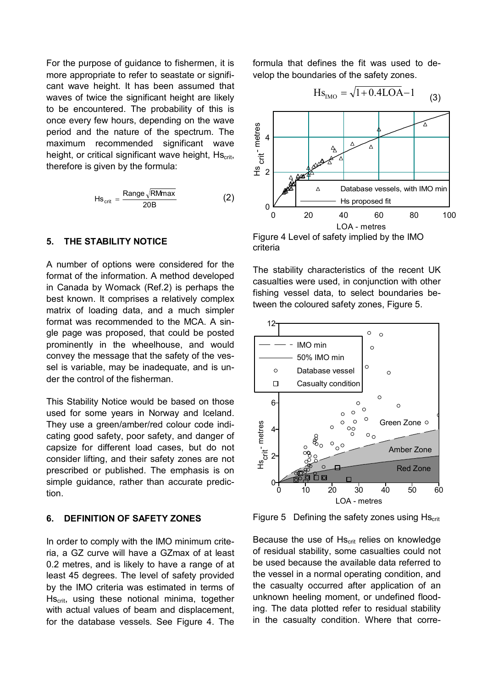For the purpose of guidance to fishermen, it is more appropriate to refer to seastate or significant wave height. It has been assumed that waves of twice the significant height are likely to be encountered. The probability of this is once every few hours, depending on the wave period and the nature of the spectrum. The maximum recommended significant wave height, or critical significant wave height, Hs<sub>crit</sub>, therefore is given by the formula:

$$
Hs_{\text{crit}} = \frac{\text{Range}\sqrt{\text{RMmax}}}{20B}
$$
 (2)

### **5. THE STABILITY NOTICE**

A number of options were considered for the format of the information. A method developed in Canada by Womack (Ref.2) is perhaps the best known. It comprises a relatively complex matrix of loading data, and a much simpler format was recommended to the MCA. A single page was proposed, that could be posted prominently in the wheelhouse, and would convey the message that the safety of the vessel is variable, may be inadequate, and is under the control of the fisherman.

This Stability Notice would be based on those used for some years in Norway and Iceland. They use a green/amber/red colour code indicating good safety, poor safety, and danger of capsize for different load cases, but do not consider lifting, and their safety zones are not prescribed or published. The emphasis is on simple guidance, rather than accurate prediction.

# **6. DEFINITION OF SAFETY ZONES**

In order to comply with the IMO minimum criteria, a GZ curve will have a GZmax of at least 0.2 metres, and is likely to have a range of at least 45 degrees. The level of safety provided by the IMO criteria was estimated in terms of Hscrit, using these notional minima, together with actual values of beam and displacement, for the database vessels. See Figure 4. The formula that defines the fit was used to develop the boundaries of the safety zones.

$$
Hs_{\text{IMO}} = \sqrt{1 + 0.4\text{LOA} - 1}
$$
 (3)



Figure 4 Level of safety implied by the IMO criteria

The stability characteristics of the recent UK casualties were used, in conjunction with other fishing vessel data, to select boundaries between the coloured safety zones, Figure 5.



Figure 5 Defining the safety zones using  $Hs_{crit}$ 

Because the use of Hs<sub>crit</sub> relies on knowledge of residual stability, some casualties could not be used because the available data referred to the vessel in a normal operating condition, and the casualty occurred after application of an unknown heeling moment, or undefined flooding. The data plotted refer to residual stability in the casualty condition. Where that corre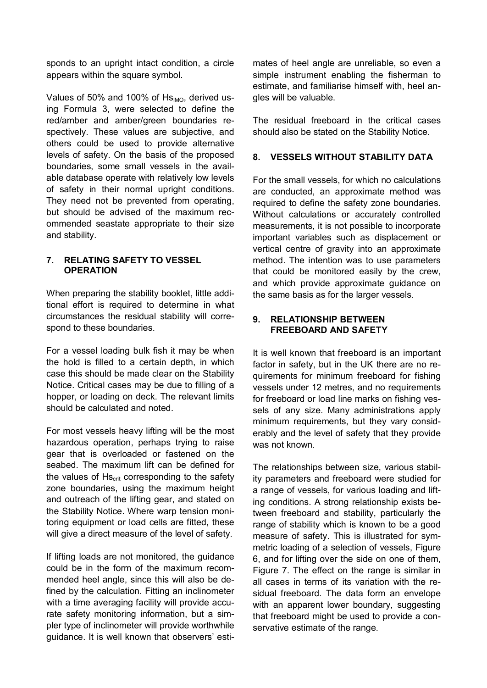sponds to an upright intact condition, a circle appears within the square symbol.

Values of 50% and 100% of  $Hs<sub>IMO</sub>$ , derived using Formula 3, were selected to define the red/amber and amber/green boundaries respectively. These values are subjective, and others could be used to provide alternative levels of safety. On the basis of the proposed boundaries, some small vessels in the available database operate with relatively low levels of safety in their normal upright conditions. They need not be prevented from operating, but should be advised of the maximum recommended seastate appropriate to their size and stability.

# **7. RELATING SAFETY TO VESSEL OPERATION**

When preparing the stability booklet, little additional effort is required to determine in what circumstances the residual stability will correspond to these boundaries.

For a vessel loading bulk fish it may be when the hold is filled to a certain depth, in which case this should be made clear on the Stability Notice. Critical cases may be due to filling of a hopper, or loading on deck. The relevant limits should be calculated and noted.

For most vessels heavy lifting will be the most hazardous operation, perhaps trying to raise gear that is overloaded or fastened on the seabed. The maximum lift can be defined for the values of  $Hs_{crit}$  corresponding to the safety zone boundaries, using the maximum height and outreach of the lifting gear, and stated on the Stability Notice. Where warp tension monitoring equipment or load cells are fitted, these will give a direct measure of the level of safety.

If lifting loads are not monitored, the guidance could be in the form of the maximum recommended heel angle, since this will also be defined by the calculation. Fitting an inclinometer with a time averaging facility will provide accurate safety monitoring information, but a simpler type of inclinometer will provide worthwhile guidance. It is well known that observers' estimates of heel angle are unreliable, so even a simple instrument enabling the fisherman to estimate, and familiarise himself with, heel angles will be valuable.

The residual freeboard in the critical cases should also be stated on the Stability Notice.

# **8. VESSELS WITHOUT STABILITY DATA**

For the small vessels, for which no calculations are conducted, an approximate method was required to define the safety zone boundaries. Without calculations or accurately controlled measurements, it is not possible to incorporate important variables such as displacement or vertical centre of gravity into an approximate method. The intention was to use parameters that could be monitored easily by the crew, and which provide approximate guidance on the same basis as for the larger vessels.

# **9. RELATIONSHIP BETWEEN FREEBOARD AND SAFETY**

It is well known that freeboard is an important factor in safety, but in the UK there are no requirements for minimum freeboard for fishing vessels under 12 metres, and no requirements for freeboard or load line marks on fishing vessels of any size. Many administrations apply minimum requirements, but they vary considerably and the level of safety that they provide was not known.

The relationships between size, various stability parameters and freeboard were studied for a range of vessels, for various loading and lifting conditions. A strong relationship exists between freeboard and stability, particularly the range of stability which is known to be a good measure of safety. This is illustrated for symmetric loading of a selection of vessels, Figure 6, and for lifting over the side on one of them, Figure 7. The effect on the range is similar in all cases in terms of its variation with the residual freeboard. The data form an envelope with an apparent lower boundary, suggesting that freeboard might be used to provide a conservative estimate of the range.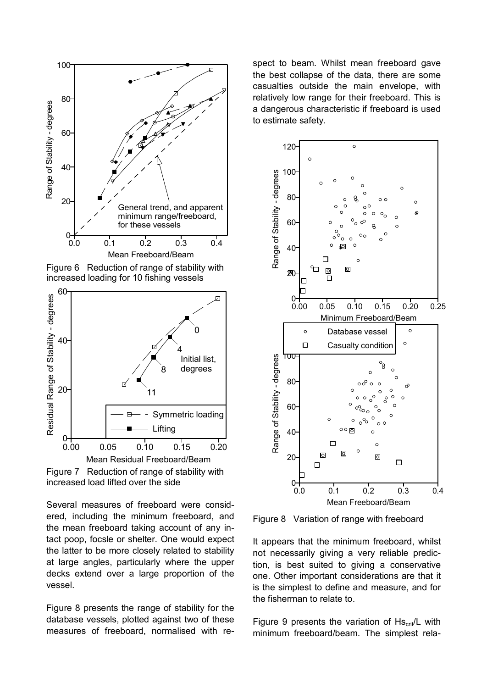

Figure 6 Reduction of range of stability with increased loading for 10 fishing vessels



Figure 7 Reduction of range of stability with increased load lifted over the side

Several measures of freeboard were considered, including the minimum freeboard, and the mean freeboard taking account of any intact poop, focsle or shelter. One would expect the latter to be more closely related to stability at large angles, particularly where the upper decks extend over a large proportion of the vessel.

Figure 8 presents the range of stability for the database vessels, plotted against two of these measures of freeboard, normalised with re-

spect to beam. Whilst mean freeboard gave the best collapse of the data, there are some casualties outside the main envelope, with relatively low range for their freeboard. This is a dangerous characteristic if freeboard is used to estimate safety.



Figure 8 Variation of range with freeboard

It appears that the minimum freeboard, whilst not necessarily giving a very reliable prediction, is best suited to giving a conservative one. Other important considerations are that it is the simplest to define and measure, and for the fisherman to relate to.

Figure 9 presents the variation of  $Hs_{crit}/L$  with minimum freeboard/beam. The simplest rela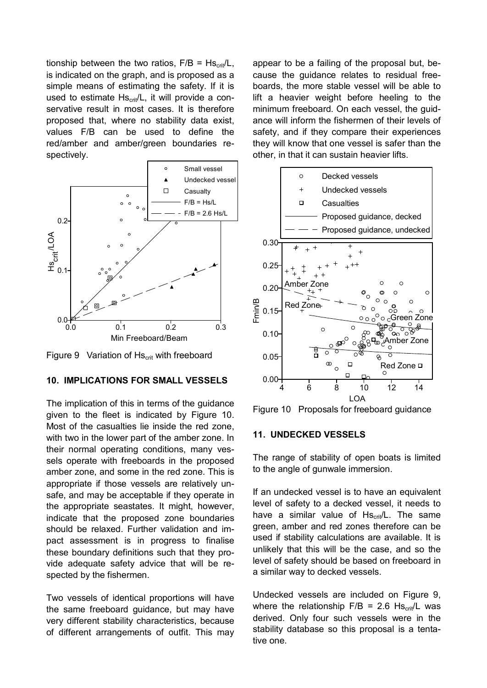tionship between the two ratios,  $F/B = HS_{crit}/L$ , is indicated on the graph, and is proposed as a simple means of estimating the safety. If it is used to estimate  $Hs_{\text{crit}}/L$ , it will provide a conservative result in most cases. It is therefore proposed that, where no stability data exist, values F/B can be used to define the red/amber and amber/green boundaries respectively.



Figure 9 Variation of  $Hs_{crit}$  with freeboard

# **10. IMPLICATIONS FOR SMALL VESSELS**

The implication of this in terms of the guidance given to the fleet is indicated by Figure 10. Most of the casualties lie inside the red zone, with two in the lower part of the amber zone. In their normal operating conditions, many vessels operate with freeboards in the proposed amber zone, and some in the red zone. This is appropriate if those vessels are relatively unsafe, and may be acceptable if they operate in the appropriate seastates. It might, however, indicate that the proposed zone boundaries should be relaxed. Further validation and impact assessment is in progress to finalise these boundary definitions such that they provide adequate safety advice that will be respected by the fishermen.

Two vessels of identical proportions will have the same freeboard guidance, but may have very different stability characteristics, because of different arrangements of outfit. This may

appear to be a failing of the proposal but, because the guidance relates to residual freeboards, the more stable vessel will be able to lift a heavier weight before heeling to the minimum freeboard. On each vessel, the guidance will inform the fishermen of their levels of safety, and if they compare their experiences they will know that one vessel is safer than the other, in that it can sustain heavier lifts.



Figure 10 Proposals for freeboard guidance

# **11. UNDECKED VESSELS**

The range of stability of open boats is limited to the angle of gunwale immersion.

If an undecked vessel is to have an equivalent level of safety to a decked vessel, it needs to have a similar value of  $\text{Hs}_{\text{crit}}/\text{L}$ . The same green, amber and red zones therefore can be used if stability calculations are available. It is unlikely that this will be the case, and so the level of safety should be based on freeboard in a similar way to decked vessels.

Undecked vessels are included on Figure 9, where the relationship  $F/B = 2.6$  Hs<sub>crit</sub>/L was derived. Only four such vessels were in the stability database so this proposal is a tentative one.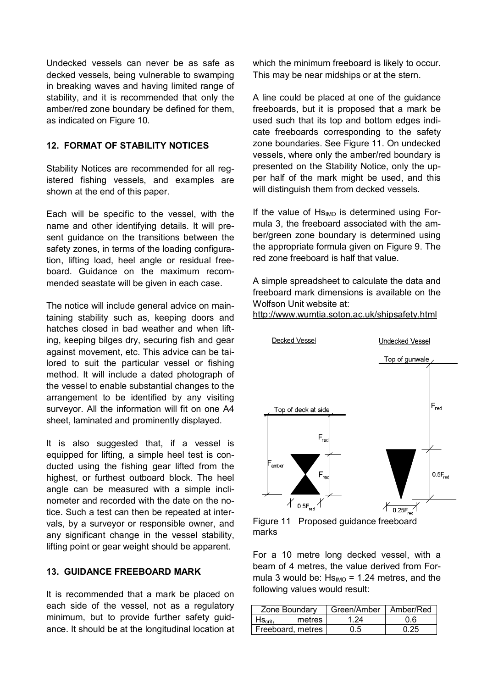Undecked vessels can never be as safe as decked vessels, being vulnerable to swamping in breaking waves and having limited range of stability, and it is recommended that only the amber/red zone boundary be defined for them, as indicated on Figure 10.

# **12. FORMAT OF STABILITY NOTICES**

Stability Notices are recommended for all registered fishing vessels, and examples are shown at the end of this paper.

Each will be specific to the vessel, with the name and other identifying details. It will present guidance on the transitions between the safety zones, in terms of the loading configuration, lifting load, heel angle or residual freeboard. Guidance on the maximum recommended seastate will be given in each case.

The notice will include general advice on maintaining stability such as, keeping doors and hatches closed in bad weather and when lifting, keeping bilges dry, securing fish and gear against movement, etc. This advice can be tailored to suit the particular vessel or fishing method. It will include a dated photograph of the vessel to enable substantial changes to the arrangement to be identified by any visiting surveyor. All the information will fit on one A4 sheet, laminated and prominently displayed.

It is also suggested that, if a vessel is equipped for lifting, a simple heel test is conducted using the fishing gear lifted from the highest, or furthest outboard block. The heel angle can be measured with a simple inclinometer and recorded with the date on the notice. Such a test can then be repeated at intervals, by a surveyor or responsible owner, and any significant change in the vessel stability, lifting point or gear weight should be apparent.

# **13. GUIDANCE FREEBOARD MARK**

It is recommended that a mark be placed on each side of the vessel, not as a regulatory minimum, but to provide further safety guidance. It should be at the longitudinal location at which the minimum freeboard is likely to occur. This may be near midships or at the stern.

A line could be placed at one of the guidance freeboards, but it is proposed that a mark be used such that its top and bottom edges indicate freeboards corresponding to the safety zone boundaries. See Figure 11. On undecked vessels, where only the amber/red boundary is presented on the Stability Notice, only the upper half of the mark might be used, and this will distinguish them from decked vessels.

If the value of  $Hs<sub>IMO</sub>$  is determined using Formula 3, the freeboard associated with the amber/green zone boundary is determined using the appropriate formula given on Figure 9. The red zone freeboard is half that value.

A simple spreadsheet to calculate the data and freeboard mark dimensions is available on the Wolfson Unit website at:

# http://www.wumtia.soton.ac.uk/shipsafety.html



Figure 11 Proposed guidance freeboard marks

For a 10 metre long decked vessel, with a beam of 4 metres, the value derived from Formula 3 would be:  $Hs_{IMO} = 1.24$  metres, and the following values would result:

| Zone Boundary                        |        | Green/Amber   Amber/Red |      |
|--------------------------------------|--------|-------------------------|------|
| $\mathsf{H}\mathsf{S}_\mathsf{crit}$ | metres | 1 24                    | 0 6  |
| Freeboard, metres                    |        | 0.5                     | በ 25 |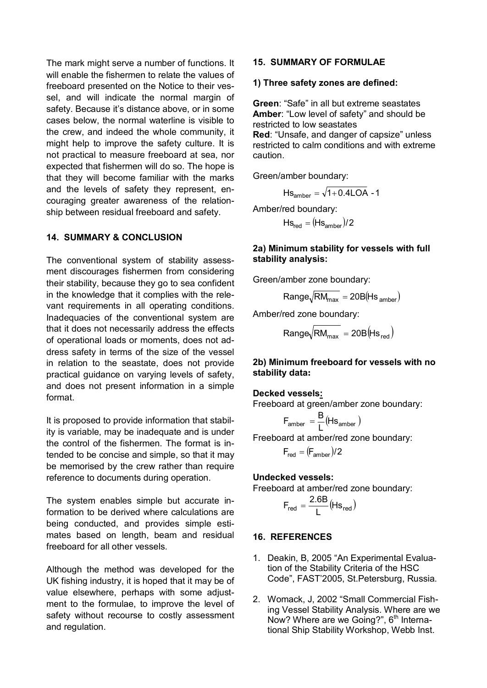The mark might serve a number of functions. It will enable the fishermen to relate the values of freeboard presented on the Notice to their vessel, and will indicate the normal margin of safety. Because it's distance above, or in some cases below, the normal waterline is visible to the crew, and indeed the whole community, it might help to improve the safety culture. It is not practical to measure freeboard at sea, nor expected that fishermen will do so. The hope is that they will become familiar with the marks and the levels of safety they represent, encouraging greater awareness of the relationship between residual freeboard and safety.

# **14. SUMMARY & CONCLUSION**

The conventional system of stability assessment discourages fishermen from considering their stability, because they go to sea confident in the knowledge that it complies with the relevant requirements in all operating conditions. Inadequacies of the conventional system are that it does not necessarily address the effects of operational loads or moments, does not address safety in terms of the size of the vessel in relation to the seastate, does not provide practical guidance on varying levels of safety, and does not present information in a simple format.

It is proposed to provide information that stability is variable, may be inadequate and is under the control of the fishermen. The format is intended to be concise and simple, so that it may be memorised by the crew rather than require reference to documents during operation.

The system enables simple but accurate information to be derived where calculations are being conducted, and provides simple estimates based on length, beam and residual freeboard for all other vessels.

Although the method was developed for the UK fishing industry, it is hoped that it may be of value elsewhere, perhaps with some adjustment to the formulae, to improve the level of safety without recourse to costly assessment and regulation.

### **15. SUMMARY OF FORMULAE**

#### **1) Three safety zones are defined:**

**Green**: "Safe" in all but extreme seastates **Amber**: "Low level of safety" and should be restricted to low seastates

**Red**: "Unsafe, and danger of capsize" unless restricted to calm conditions and with extreme caution.

Green/amber boundary:

$$
Hs_{\text{amber}} = \sqrt{1 + 0.4\text{LOA} - 1}
$$

Amber/red boundary:

 $Hs_{\text{red}} = (Hs_{\text{amber}})/2$ 

### **2a) Minimum stability for vessels with full stability analysis:**

Green/amber zone boundary:

$$
Range\sqrt{RM_{max}} = 20B(Hs_{amber})
$$

Amber/red zone boundary:

 $Range\sqrt{RM_{max}} = 20B(HS_{red})$ 

### **2b) Minimum freeboard for vessels with no stability data:**

#### **Decked vessels:**

Freeboard at green/amber zone boundary:

$$
F_{\text{amber}} = \frac{B}{L}(Hs_{\text{amber}})
$$

Freeboard at amber/red zone boundary:

$$
F_{\text{red}} = (F_{\text{amber}})/2
$$

#### **Undecked vessels:**

Freeboard at amber/red zone boundary:

$$
F_{\text{red}} = \frac{2.6B}{L} (Hs_{\text{red}})
$$

#### **16. REFERENCES**

- 1. Deakin, B, 2005 "An Experimental Evaluation of the Stability Criteria of the HSC Code", FAST'2005, St.Petersburg, Russia.
- 2. Womack, J, 2002 "Small Commercial Fishing Vessel Stability Analysis. Where are we Now? Where are we Going?", 6<sup>th</sup> International Ship Stability Workshop, Webb Inst.